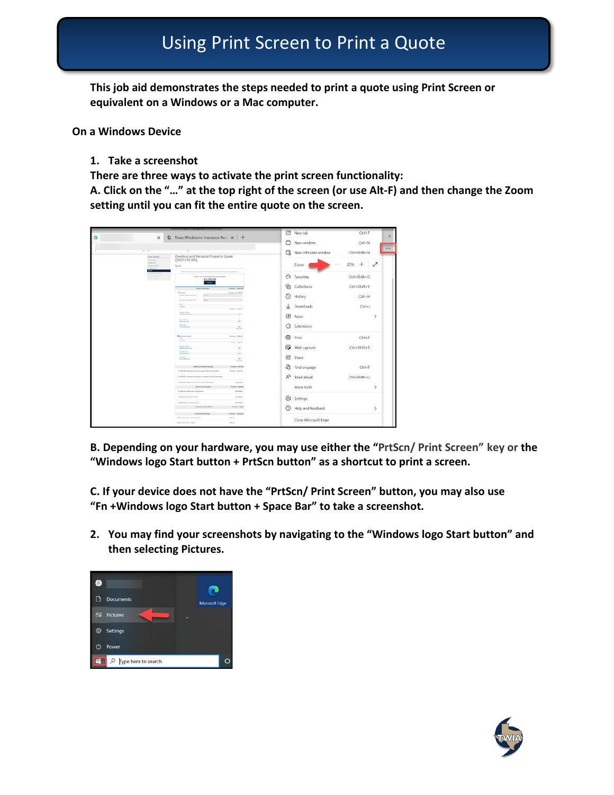**This job aid demonstrates the steps needed to print a quote using Print Screen or equivalent on a Windows or a Mac computer.** 

**On a Windows Device**

**1. Take a screenshot**

**There are three ways to activate the print screen functionality:**

**A. Click on the "…" at the top right of the screen (or use Alt-F) and then change the Zoom setting until you can fit the entire quote on the screen.** 



**B. Depending on your hardware, you may use either the "PrtScn/ Print Screen" key or the "Windows logo Start button + PrtScn button" as a shortcut to print a screen.** 

**C. If your device does not have the "PrtScn/ Print Screen" button, you may also use "Fn +Windows logo Start button + Space Bar" to take a screenshot.** 

**2. You may find your screenshots by navigating to the "Windows logo Start button" and then selecting Pictures.**